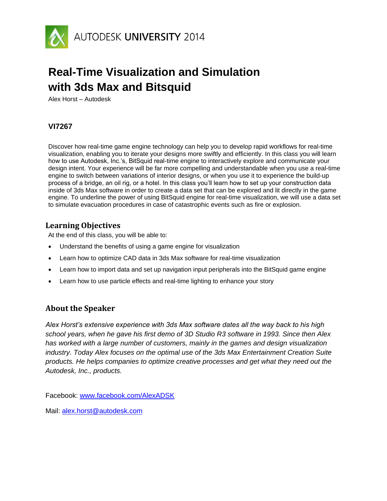

# **Real-Time Visualization and Simulation with 3ds Max and Bitsquid**

Alex Horst – Autodesk

# **VI7267**

Discover how real-time game engine technology can help you to develop rapid workflows for real-time visualization, enabling you to iterate your designs more swiftly and efficiently. In this class you will learn how to use Autodesk, Inc.'s, BitSquid real-time engine to interactively explore and communicate your design intent. Your experience will be far more compelling and understandable when you use a real-time engine to switch between variations of interior designs, or when you use it to experience the build-up process of a bridge, an oil rig, or a hotel. In this class you'll learn how to set up your construction data inside of 3ds Max software in order to create a data set that can be explored and lit directly in the game engine. To underline the power of using BitSquid engine for real-time visualization, we will use a data set to simulate evacuation procedures in case of catastrophic events such as fire or explosion.

# **Learning Objectives**

At the end of this class, you will be able to:

- Understand the benefits of using a game engine for visualization
- Learn how to optimize CAD data in 3ds Max software for real-time visualization
- Learn how to import data and set up navigation input peripherals into the BitSquid game engine
- Learn how to use particle effects and real-time lighting to enhance your story

# **About the Speaker**

*Alex Horst's extensive experience with 3ds Max software dates all the way back to his high school years, when he gave his first demo of 3D Studio R3 software in 1993. Since then Alex has worked with a large number of customers, mainly in the games and design visualization industry. Today Alex focuses on the optimal use of the 3ds Max Entertainment Creation Suite products. He helps companies to optimize creative processes and get what they need out the Autodesk, Inc., products.*

Facebook: [www.facebook.com/AlexADSK](http://www.facebook.com/AlexADSK)

Mail: [alex.horst@autodesk.com](mailto:alex.horst@autodesk.com)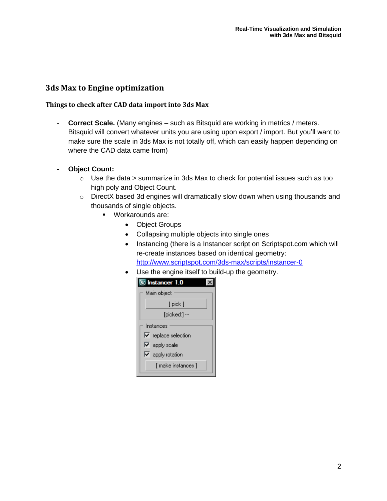### **3ds Max to Engine optimization**

#### **Things to check after CAD data import into 3ds Max**

- **Correct Scale.** (Many engines – such as Bitsquid are working in metrics / meters. Bitsquid will convert whatever units you are using upon export / import. But you'll want to make sure the scale in 3ds Max is not totally off, which can easily happen depending on where the CAD data came from)

#### - **Object Count:**

- $\circ$  Use the data > summarize in 3ds Max to check for potential issues such as too high poly and Object Count.
- o DirectX based 3d engines will dramatically slow down when using thousands and thousands of single objects.
	- Workarounds are:
		- Object Groups
		- Collapsing multiple objects into single ones
		- Instancing (there is a Instancer script on Scriptspot.com which will re-create instances based on identical geometry: <http://www.scriptspot.com/3ds-max/scripts/instancer-0>
		- Use the engine itself to build-up the geometry.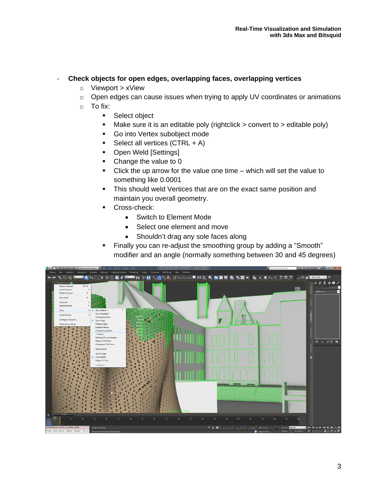#### - **Check objects for open edges, overlapping faces, overlapping vertices**

- o Viewport > xView
- o Open edges can cause issues when trying to apply UV coordinates or animations
- o To fix:
	- **Select object**
	- $\blacksquare$  Make sure it is an editable poly (rightclick > convert to > editable poly)
	- Go into Vertex subobject mode
	- Select all vertices  $(CTRL + A)$
	- Open Weld [Settings]
	- Change the value to 0
	- Click the up arrow for the value one time which will set the value to something like 0.0001
	- **This should weld Vertices that are on the exact same position and** maintain you overall geometry.
		- Cross-check:
			- Switch to Element Mode
			- Select one element and move
			- Shouldn't drag any sole faces along
	- Finally you can re-adjust the smoothing group by adding a "Smooth" modifier and an angle (normally something between 30 and 45 degrees)

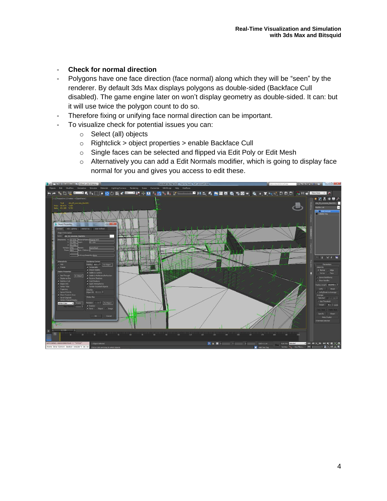#### - **Check for normal direction**

- Polygons have one face direction (face normal) along which they will be "seen" by the renderer. By default 3ds Max displays polygons as double-sided (Backface Cull disabled). The game engine later on won't display geometry as double-sided. It can: but it will use twice the polygon count to do so.
- Therefore fixing or unifying face normal direction can be important.
- To visualize check for potential issues you can:
	- o Select (all) objects
	- o Rightclick > object properties > enable Backface Cull
	- o Single faces can be selected and flipped via Edit Poly or Edit Mesh
	- o Alternatively you can add a Edit Normals modifier, which is going to display face normal for you and gives you access to edit these.

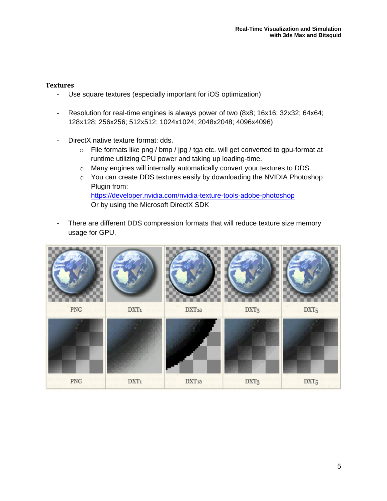#### **Textures**

- Use square textures (especially important for iOS optimization)
- Resolution for real-time engines is always power of two (8x8; 16x16; 32x32; 64x64; 128x128; 256x256; 512x512; 1024x1024; 2048x2048; 4096x4096)
- DirectX native texture format: dds.
	- o File formats like png / bmp / jpg / tga etc. will get converted to gpu-format at runtime utilizing CPU power and taking up loading-time.
	- o Many engines will internally automatically convert your textures to DDS.
	- o You can create DDS textures easily by downloading the NVIDIA Photoshop Plugin from: <https://developer.nvidia.com/nvidia-texture-tools-adobe-photoshop> Or by using the Microsoft DirectX SDK
- There are different DDS compression formats that will reduce texture size memory usage for GPU.

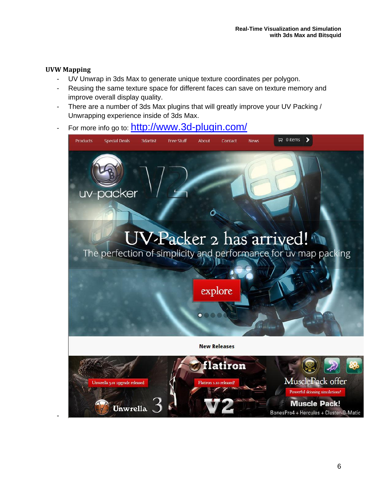#### **UVW Mapping**

-

- UV Unwrap in 3ds Max to generate unique texture coordinates per polygon.
- Reusing the same texture space for different faces can save on texture memory and improve overall display quality.
- There are a number of 3ds Max plugins that will greatly improve your UV Packing / Unwrapping experience inside of 3ds Max.
- For more info go to: <http://www.3d-plugin.com/>